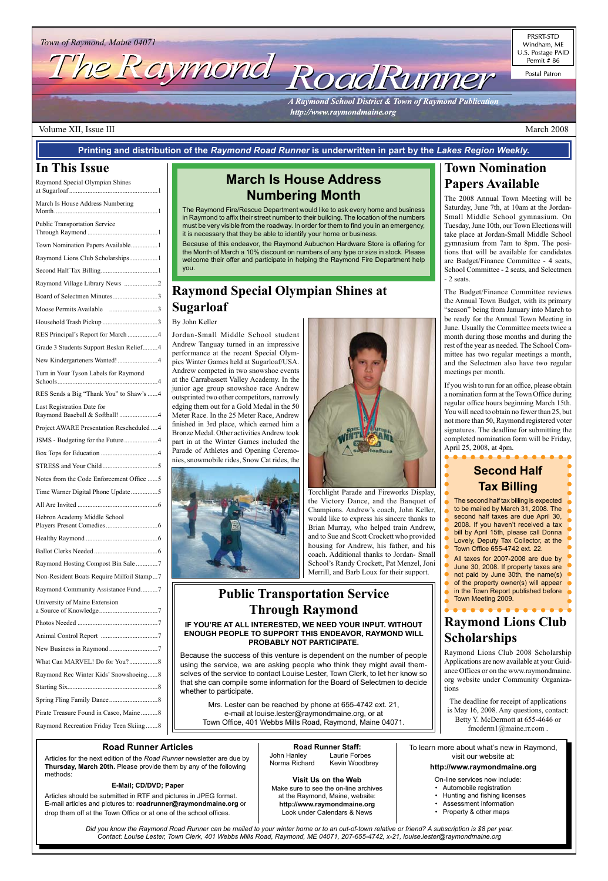# Town of Raymond, Maine 04071<br>The Raymond, Maine 04071

PRSRT-STD Windham, ME U.S. Postage PAID Permit # 86

Postal Patron

**A Raymond School District & Town of Raymond Publication** http://www.raymondmaine.org

#### Volume XII, Issue III March 2008

#### **Road Runner Staff:** John Hanley Laurie Forbes Norma Richard Kevin Woodbrey

**Visit Us on the Web** Make sure to see the on-line archives at the Raymond, Maine, website: **http://www.raymondmaine.org** Look under Calendars & News

#### **Road Runner Articles**

Articles for the next edition of the *Road Runner* newsletter are due by **Thursday, March 20th.** Please provide them by any of the following methods:

#### **E-Mail; CD/DVD; Paper**

Articles should be submitted in RTF and pictures in JPEG format. E-mail articles and pictures to: **roadrunner@raymondmaine.org** or drop them off at the Town Office or at one of the school offices.

To learn more about what's new in Raymond, visit our website at:

**http://www.raymondmaine.org**

On-line services now include:

- Automobile registration
- Hunting and fishing licenses
- Assessment information
- Property & other maps

*Did you know the Raymond Road Runner can be mailed to your winter home or to an out-of-town relative or friend? A subscription is \$8 per year. Contact: Louise Lester, Town Clerk, 401 Webbs Mills Road, Raymond, ME 04071, 207-655-4742, x-21, louise.lester@raymondmaine.org*

### **In This Issue**

| Raymond Rec Winter Kids' Snowshoeing8  |  |
|----------------------------------------|--|
|                                        |  |
|                                        |  |
| Pirate Treasure Found in Casco, Maine8 |  |

| Raymond Special Olympian Shines                              |
|--------------------------------------------------------------|
| March Is House Address Numbering                             |
| <b>Public Transportation Service</b>                         |
| Town Nomination Papers Available1                            |
| Raymond Lions Club Scholarships1                             |
|                                                              |
| Raymond Village Library News 2                               |
| Board of Selectmen Minutes3                                  |
| Moose Permits Available 3                                    |
|                                                              |
| RES Principal's Report for March 4                           |
| Grade 3 Students Support Beslan Relief4                      |
| New Kindergarteners Wanted!4                                 |
| Turn in Your Tyson Labels for Raymond                        |
| RES Sends a Big "Thank You" to Shaw's  4                     |
| Last Registration Date for<br>Raymond Baseball & Softball! 4 |
| Project AWARE Presentation Rescheduled  4                    |
| JSMS - Budgeting for the Future4                             |
|                                                              |
|                                                              |
| Notes from the Code Enforcement Office 5                     |
| Time Warner Digital Phone Update5                            |
| All Are Invited<br>- 6                                       |
| Hebron Academy Middle School                                 |
|                                                              |
|                                                              |
| Raymond Hosting Compost Bin Sale 7                           |
| Non-Resident Boats Require Milfoil Stamp7                    |
| Raymond Community Assistance Fund7                           |
| University of Maine Extension                                |
|                                                              |

Animal Control Report ..................................7

New Business in Raymond .............................7 What Can MARVEL! Do for You?.................8

Raymond Recreation Friday Teen Skiing .......8

### **March Is House Address Numbering Month**

The Raymond Fire/Rescue Department would like to ask every home and business in Raymond to affix their street number to their building. The location of the numbers must be very visible from the roadway. In order for them to find you in an emergency, it is necessary that they be able to identify your home or business.

Because of this endeavor, the Raymond Aubuchon Hardware Store is offering for the Month of March a 10% discount on numbers of any type or size in stock. Please welcome their offer and participate in helping the Raymond Fire Department help you.

**Printing and distribution of the** *Raymond Road Runner* **is underwritten in part by the** *Lakes Region Weekly.*

### **Town Nomination Papers Available**

The 2008 Annual Town Meeting will be Saturday, June 7th, at 10am at the Jordan-Small Middle School gymnasium. On Tuesday, June 10th, our Town Elections will take place at Jordan-Small Middle School gymnasium from 7am to 8pm. The positions that will be available for candidates are Budget/Finance Committee - 4 seats, School Committee - 2 seats, and Selectmen - 2 seats.

The Budget/Finance Committee reviews the Annual Town Budget, with its primary "season" being from January into March to be ready for the Annual Town Meeting in June. Usually the Committee meets twice a month during those months and during the rest of the year as needed. The School Committee has two regular meetings a month, and the Selectmen also have two regular meetings per month.

If you wish to run for an office, please obtain a nomination form at the Town Office during regular office hours beginning March 15th. You will need to obtain no fewer than 25, but not more than 50, Raymond registered voter signatures. The deadline for submitting the completed nomination form will be Friday, April 25, 2008, at 4pm.

### **Second Half Tax Billing**

The second half tax billing is expected to be mailed by March 31, 2008. The second half taxes are due April 30, 2008. If you haven't received a tax bill by April 15th, please call Donna Lovely, Deputy Tax Collector, at the Town Office 655-4742 ext. 22. All taxes for 2007-2008 are due by

- June 30, 2008. If property taxes are
- not paid by June 30th, the name(s)
- of the property owner(s) will appear
- in the Town Report published before Town Meeting 2009.

### **Raymond Lions Club Scholarships**

Raymond Lions Club 2008 Scholarship Applications are now available at your Guidance Offices or on the www.raymondmaine. org website under Community Organizations

The deadline for receipt of applications is May 16, 2008. Any questions, contact: Betty Y. McDermott at 655-4646 or fmcderm1@maine.rr.com .

### **Raymond Special Olympian Shines at Sugarloaf**

#### By John Keller

Jordan-Small Middle School student Andrew Tanguay turned in an impressive performance at the recent Special Olympics Winter Games held at Sugarloaf/USA. Andrew competed in two snowshoe events at the Carrabassett Valley Academy. In the junior age group snowshoe race Andrew outsprinted two other competitors, narrowly edging them out for a Gold Medal in the 50 Meter Race. In the 25 Meter Race, Andrew finished in 3rd place, which earned him a Bronze Medal. Other activities Andrew took part in at the Winter Games included the Parade of Athletes and Opening Ceremonies, snowmobile rides, Snow Cat rides, the





Torchlight Parade and Fireworks Display, the Victory Dance, and the Banquet of Champions. Andrew's coach, John Keller, would like to express his sincere thanks to Brian Murray, who helped train Andrew, and to Sue and Scott Crockett who provided housing for Andrew, his father, and his coach. Additional thanks to Jordan- Small School's Randy Crockett, Pat Menzel, Joni Merrill, and Barb Loux for their support.

### **Public Transportation Service Through Raymond**

#### **IF YOU'RE AT ALL INTERESTED, WE NEED YOUR INPUT. WITHOUT ENOUGH PEOPLE TO SUPPORT THIS ENDEAVOR, RAYMOND WILL PROBABLY NOT PARTICIPATE.**

Because the success of this venture is dependent on the number of people using the service, we are asking people who think they might avail themselves of the service to contact Louise Lester, Town Clerk, to let her know so that she can compile some information for the Board of Selectmen to decide whether to participate.

Mrs. Lester can be reached by phone at 655-4742 ext. 21, e-mail at louise.lester@raymondmaine.org, or at Town Office, 401 Webbs Mills Road, Raymond, Maine 04071.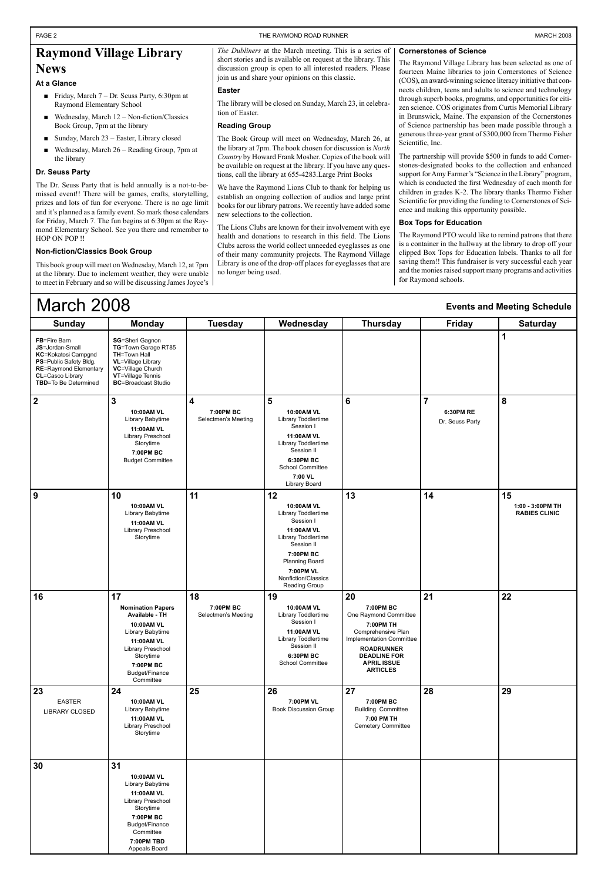| <b>Sunday</b>                                                                                                                                                       | <b>Monday</b>                                                                                                                                                                  | <b>Tuesday</b>                         | Wednesday                                                                                                                                                                                          | <b>Thursday</b>                                                                                                                                                                              | <b>Friday</b>                | <b>Saturday</b>                                |
|---------------------------------------------------------------------------------------------------------------------------------------------------------------------|--------------------------------------------------------------------------------------------------------------------------------------------------------------------------------|----------------------------------------|----------------------------------------------------------------------------------------------------------------------------------------------------------------------------------------------------|----------------------------------------------------------------------------------------------------------------------------------------------------------------------------------------------|------------------------------|------------------------------------------------|
| <b>FB=Fire Barn</b><br>JS=Jordan-Small<br>KC=Kokatosi Campgnd<br>PS=Public Safety Bldg.<br><b>RE=Raymond Elementary</b><br>CL=Casco Library<br>TBD=To Be Determined | <b>SG=Sheri Gagnon</b><br>TG=Town Garage RT85<br><b>TH=Town Hall</b><br><b>VL</b> =Village Library<br>VC=Village Church<br>VT=Village Tennis<br><b>BC=Broadcast Studio</b>     |                                        |                                                                                                                                                                                                    |                                                                                                                                                                                              |                              | 1                                              |
| $\boldsymbol{2}$                                                                                                                                                    | $\mathbf{3}$                                                                                                                                                                   | 4                                      | 5                                                                                                                                                                                                  | $6\phantom{1}$                                                                                                                                                                               | $\overline{7}$               | 8                                              |
|                                                                                                                                                                     | 10:00AM VL<br>Library Babytime<br>11:00AM VL<br>Library Preschool<br>Storytime<br>7:00PM BC<br><b>Budget Committee</b>                                                         | 7:00PM BC<br>Selectmen's Meeting       | 10:00AM VL<br>Library Toddlertime<br>Session I<br>11:00AM VL<br>Library Toddlertime<br>Session II<br>6:30PM BC<br>School Committee<br>7:00 VL<br>Library Board                                     |                                                                                                                                                                                              | 6:30PM RE<br>Dr. Seuss Party |                                                |
| 9                                                                                                                                                                   | 10<br>10:00AM VL<br>Library Babytime<br>11:00AM VL<br>Library Preschool<br>Storytime                                                                                           | 11                                     | 12<br>10:00AM VL<br>Library Toddlertime<br>Session I<br>11:00AM VL<br>Library Toddlertime<br>Session II<br>7:00PM BC<br><b>Planning Board</b><br>7:00PM VL<br>Nonfiction/Classics<br>Reading Group | 13                                                                                                                                                                                           | 14                           | 15<br>1:00 - 3:00PM TH<br><b>RABIES CLINIC</b> |
| 16                                                                                                                                                                  | 17<br><b>Nomination Papers</b><br>Available - TH<br>10:00AM VL<br>Library Babytime<br>11:00AM VL<br>Library Preschool<br>Storytime<br>7:00PM BC<br>Budget/Finance<br>Committee | 18<br>7:00PM BC<br>Selectmen's Meeting | 19<br>10:00AM VL<br>Library Toddlertime<br>Session I<br>11:00AM VL<br>Library Toddlertime<br>Session II<br>6:30PM BC<br>School Committee                                                           | 20<br>7:00PM BC<br>One Raymond Committee<br>7:00PM TH<br>Comprehensive Plan<br>Implementation Committee<br><b>ROADRUNNER</b><br><b>DEADLINE FOR</b><br><b>APRIL ISSUE</b><br><b>ARTICLES</b> | 21                           | 22                                             |
| 23<br><b>EASTER</b><br>LIBRARY CLOSED                                                                                                                               | 24<br>10:00AM VL<br>Library Babytime<br>11:00AM VL<br>Library Preschool<br>Storytime                                                                                           | 25                                     | 26<br>7:00PM VL<br><b>Book Discussion Group</b>                                                                                                                                                    | 27<br>7:00PM BC<br><b>Building Committee</b><br>7:00 PM TH<br>Cemetery Committee                                                                                                             | 28                           | 29                                             |
| 30                                                                                                                                                                  | 31<br>10:00AM VL<br>Library Babytime<br>11:00AM VL<br>Library Preschool<br>Storytime<br>7:00PM BC<br>Budget/Finance<br>Committee<br>7:00PM TBD<br>Appeals Board                |                                        |                                                                                                                                                                                                    |                                                                                                                                                                                              |                              |                                                |

- Friday, March 7 Dr. Seuss Party, 6:30pm at Raymond Elementary School
- Wednesday, March 12 Non-fiction/Classics Book Group, 7pm at the library ■
- Sunday, March 23 Easter, Library closed
- Wednesday, March 26 Reading Group, 7pm at the library ■

### March 2008

#### **Events and Meeting Schedule**

### **Raymond Village Library News**

#### **At a Glance**

#### **Dr. Seuss Party**

The Dr. Seuss Party that is held annually is a not-to-bemissed event!! There will be games, crafts, storytelling, prizes and lots of fun for everyone. There is no age limit and it's planned as a family event. So mark those calendars for Friday, March 7. The fun begins at 6:30pm at the Raymond Elementary School. See you there and remember to HOP ON POP !!

#### **Non-fiction/Classics Book Group**

This book group will meet on Wednesday, March 12, at 7pm at the library. Due to inclement weather, they were unable to meet in February and so will be discussing James Joyce's

*The Dubliners* at the March meeting. This is a series of short stories and is available on request at the library. This discussion group is open to all interested readers. Please join us and share your opinions on this classic.

#### **Easter**

The library will be closed on Sunday, March 23, in celebration of Easter.

#### **Reading Group**

The Book Group will meet on Wednesday, March 26, at the library at 7pm. The book chosen for discussion is *North Country* by Howard Frank Mosher. Copies of the book will be available on request at the library. If you have any questions, call the library at 655-4283.Large Print Books

We have the Raymond Lions Club to thank for helping us establish an ongoing collection of audios and large print books for our library patrons. We recently have added some new selections to the collection.

The Lions Clubs are known for their involvement with eye health and donations to research in this field. The Lions Clubs across the world collect unneeded eyeglasses as one of their many community projects. The Raymond Village Library is one of the drop-off places for eyeglasses that are no longer being used.

#### **Cornerstones of Science**

The Raymond Village Library has been selected as one of fourteen Maine libraries to join Cornerstones of Science (COS), an award-winning science literacy initiative that connects children, teens and adults to science and technology through superb books, programs, and opportunities for citizen science. COS originates from Curtis Memorial Library in Brunswick, Maine. The expansion of the Cornerstones of Science partnership has been made possible through a generous three-year grant of \$300,000 from Thermo Fisher Scientific, Inc.

The partnership will provide \$500 in funds to add Cornerstones-designated books to the collection and enhanced support for Amy Farmer's "Science in the Library" program, which is conducted the first Wednesday of each month for children in grades K-2. The library thanks Thermo Fisher Scientific for providing the funding to Cornerstones of Science and making this opportunity possible.

#### **Box Tops for Education**

The Raymond PTO would like to remind patrons that there is a container in the hallway at the library to drop off your clipped Box Tops for Education labels. Thanks to all for saving them!! This fundraiser is very successful each year and the monies raised support many programs and activities for Raymond schools.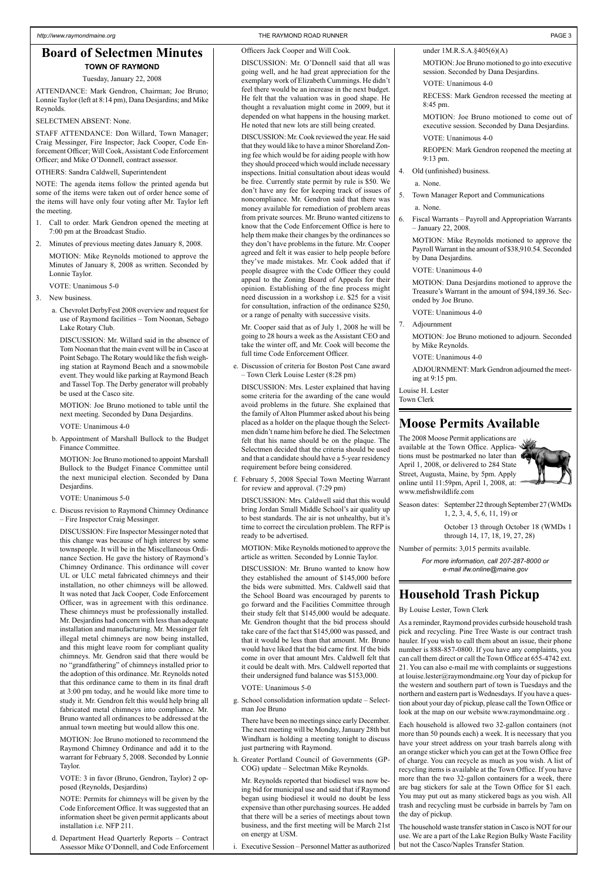### **Moose Permits Available**

The 2008 Moose Permit applications are available at the Town Office. Applications must be postmarked no later than April 1, 2008, or delivered to 284 State Street, Augusta, Maine, by 5pm. Apply online until 11:59pm, April 1, 2008, at: www.mefishwildlife.com



Season dates: September 22 through September 27 (WMDs 1, 2, 3, 4, 5, 6, 11, 19) or

> October 13 through October 18 (WMDs 1 through 14, 17, 18, 19, 27, 28)

Number of permits: 3,015 permits available.

*For more information, call 207-287-8000 or e-mail ifw.online@maine.gov*

#### **Board of Selectmen Minutes TOWN OF RAYMOND**

#### Tuesday, January 22, 2008

ATTENDANCE: Mark Gendron, Chairman; Joe Bruno; Lonnie Taylor (left at 8:14 pm), Dana Desjardins; and Mike Reynolds.

#### SELECTMEN ABSENT: None.

STAFF ATTENDANCE: Don Willard, Town Manager; Craig Messinger, Fire Inspector; Jack Cooper, Code Enforcement Officer; Will Cook, Assistant Code Enforcement Officer; and Mike O'Donnell, contract assessor.

OTHERS: Sandra Caldwell, Superintendent

NOTE: The agenda items follow the printed agenda but some of the items were taken out of order hence some of the items will have only four voting after Mr. Taylor left the meeting.

- 1. Call to order. Mark Gendron opened the meeting at 7:00 pm at the Broadcast Studio.
- 2. Minutes of previous meeting dates January 8, 2008.

MOTION: Mike Reynolds motioned to approve the Minutes of January 8, 2008 as written. Seconded by Lonnie Taylor.

VOTE: Unanimous 5-0

- 3. New business.
	- a. Chevrolet DerbyFest 2008 overview and request for use of Raymond facilities – Tom Noonan, Sebago Lake Rotary Club.

DISCUSSION: Mr. Willard said in the absence of Tom Noonan that the main event will be in Casco at Point Sebago. The Rotary would like the fish weighing station at Raymond Beach and a snowmobile event. They would like parking at Raymond Beach and Tassel Top. The Derby generator will probably be used at the Casco site.

MOTION: Joe Bruno motioned to table until the next meeting. Seconded by Dana Desjardins.

VOTE: Unanimous 4-0

b. Appointment of Marshall Bullock to the Budget Finance Committee.

MOTION: Joe Bruno motioned to appoint Marshall Bullock to the Budget Finance Committee until the next municipal election. Seconded by Dana Desjardins.

VOTE: Unanimous 5-0

c. Discuss revision to Raymond Chimney Ordinance – Fire Inspector Craig Messinger.

DISCUSSION: Fire Inspector Messinger noted that this change was because of high interest by some townspeople. It will be in the Miscellaneous Ordinance Section. He gave the history of Raymond's Chimney Ordinance. This ordinance will cover UL or ULC metal fabricated chimneys and their installation, no other chimneys will be allowed. It was noted that Jack Cooper, Code Enforcement Officer, was in agreement with this ordinance. These chimneys must be professionally installed. Mr. Desjardins had concern with less than adequate installation and manufacturing. Mr. Messinger felt illegal metal chimneys are now being installed, and this might leave room for compliant quality chimneys. Mr. Gendron said that there would be no "grandfathering" of chimneys installed prior to

the adoption of this ordinance. Mr. Reynolds noted that this ordinance came to them in its final draft at 3:00 pm today, and he would like more time to study it. Mr. Gendron felt this would help bring all fabricated metal chimneys into compliance. Mr. Bruno wanted all ordinances to be addressed at the annual town meeting but would allow this one.

MOTION: Joe Bruno motioned to recommend the Raymond Chimney Ordinance and add it to the warrant for February 5, 2008. Seconded by Lonnie Taylor.

VOTE: 3 in favor (Bruno, Gendron, Taylor) 2 opposed (Reynolds, Desjardins)

NOTE: Permits for chimneys will be given by the Code Enforcement Office. It was suggested that an information sheet be given permit applicants about installation i.e. NFP 211.

d. Department Head Quarterly Reports – Contract Assessor Mike O'Donnell, and Code Enforcement

#### Officers Jack Cooper and Will Cook.

DISCUSSION: Mr. O'Donnell said that all was going well, and he had great appreciation for the exemplary work of Elizabeth Cummings. He didn't feel there would be an increase in the next budget. He felt that the valuation was in good shape. He thought a revaluation might come in 2009, but it depended on what happens in the housing market. He noted that new lots are still being created.

DISCUSSION: Mr. Cook reviewed the year. He said that they would like to have a minor Shoreland Zoning fee which would be for aiding people with how they should proceed which would include necessary inspections. Initial consultation about ideas would be free. Currently state permit by rule is \$50. We don't have any fee for keeping track of issues of noncompliance. Mr. Gendron said that there was money available for remediation of problem areas from private sources. Mr. Bruno wanted citizens to know that the Code Enforcement Office is here to help them make their changes by the ordinances so they don't have problems in the future. Mr. Cooper agreed and felt it was easier to help people before they've made mistakes. Mr. Cook added that if people disagree with the Code Officer they could appeal to the Zoning Board of Appeals for their opinion. Establishing of the fine process might need discussion in a workshop i.e. \$25 for a visit for consultation, infraction of the ordinance \$250, or a range of penalty with successive visits.

Mr. Cooper said that as of July 1, 2008 he will be going to 28 hours a week as the Assistant CEO and take the winter off, and Mr. Cook will become the full time Code Enforcement Officer.

e. Discussion of criteria for Boston Post Cane award – Town Clerk Louise Lester (8:28 pm)

DISCUSSION: Mrs. Lester explained that having some criteria for the awarding of the cane would avoid problems in the future. She explained that the family of Alton Plummer asked about his being placed as a holder on the plaque though the Selectmen didn't name him before he died. The Selectmen felt that his name should be on the plaque. The Selectmen decided that the criteria should be used and that a candidate should have a 5-year residency requirement before being considered.

f. February 5, 2008 Special Town Meeting Warrant for review and approval. (7:29 pm)

DISCUSSION: Mrs. Caldwell said that this would bring Jordan Small Middle School's air quality up to best standards. The air is not unhealthy, but it's time to correct the circulation problem. The RFP is ready to be advertised.

MOTION: Mike Reynolds motioned to approve the article as written. Seconded by Lonnie Taylor.

DISCUSSION: Mr. Bruno wanted to know how they established the amount of \$145,000 before the bids were submitted. Mrs. Caldwell said that the School Board was encouraged by parents to go forward and the Facilities Committee through their study felt that \$145,000 would be adequate. Mr. Gendron thought that the bid process should take care of the fact that \$145,000 was passed, and that it would be less than that amount. Mr. Bruno would have liked that the bid came first. If the bids come in over that amount Mrs. Caldwell felt that

it could be dealt with. Mrs. Caldwell reported that their undersigned fund balance was \$153,000.

VOTE: Unanimous 5-0

g. School consolidation information update – Selectman Joe Bruno

There have been no meetings since early December. The next meeting will be Monday, January 28th but Windham is holding a meeting tonight to discuss just partnering with Raymond.

h. Greater Portland Council of Governments (GP-COG) update – Selectman Mike Reynolds.

Mr. Reynolds reported that biodiesel was now being bid for municipal use and said that if Raymond began using biodiesel it would no doubt be less expensive than other purchasing sources. He added that there will be a series of meetings about town business, and the first meeting will be March 21st on energy at USM.

i. Executive Session – Personnel Matter as authorized

#### under 1M.R.S.A.§405(6)(A)

MOTION: Joe Bruno motioned to go into executive session. Seconded by Dana Desjardins.

VOTE: Unanimous 4-0

RECESS: Mark Gendron recessed the meeting at 8:45 pm.

MOTION: Joe Bruno motioned to come out of executive session. Seconded by Dana Desjardins. VOTE: Unanimous 4-0

REOPEN: Mark Gendron reopened the meeting at 9:13 pm.

4. Old (unfinished) business.

a. None.

5. Town Manager Report and Communications

a. None.

6. Fiscal Warrants – Payroll and Appropriation Warrants – January 22, 2008.

MOTION: Mike Reynolds motioned to approve the Payroll Warrant in the amount of \$38,910.54. Seconded by Dana Desjardins.

VOTE: Unanimous 4-0

MOTION: Dana Desjardins motioned to approve the Treasure's Warrant in the amount of \$94,189.36. Seconded by Joe Bruno.

VOTE: Unanimous 4-0

7. Adjournment

MOTION: Joe Bruno motioned to adjourn. Seconded by Mike Reynolds.

VOTE: Unanimous 4-0

ADJOURNMENT: Mark Gendron adjourned the meeting at 9:15 pm.

Louise H. Lester Town Clerk

### **Household Trash Pickup**

By Louise Lester, Town Clerk

As a reminder, Raymond provides curbside household trash pick and recycling. Pine Tree Waste is our contract trash hauler. If you wish to call them about an issue, their phone number is 888-857-0800. If you have any complaints, you can call them direct or call the Town Office at 655-4742 ext. 21. You can also e-mail me with complaints or suggestions at louise.lester@raymondmaine.org Your day of pickup for the western and southern part of town is Tuesdays and the northern and eastern part is Wednesdays. If you have a question about your day of pickup, please call the Town Office or look at the map on our website www.raymondmaine.org .

Each household is allowed two 32-gallon containers (not more than 50 pounds each) a week. It is necessary that you have your street address on your trash barrels along with an orange sticker which you can get at the Town Office free of charge. You can recycle as much as you wish. A list of recycling items is available at the Town Office. If you have more than the two 32-gallon containers for a week, there are bag stickers for sale at the Town Office for \$1 each. You may put out as many stickered bags as you wish. All trash and recycling must be curbside in barrels by 7am on the day of pickup.

The household waste transfer station in Casco is NOT for our use. We are a part of the Lake Region Bulky Waste Facility but not the Casco/Naples Transfer Station.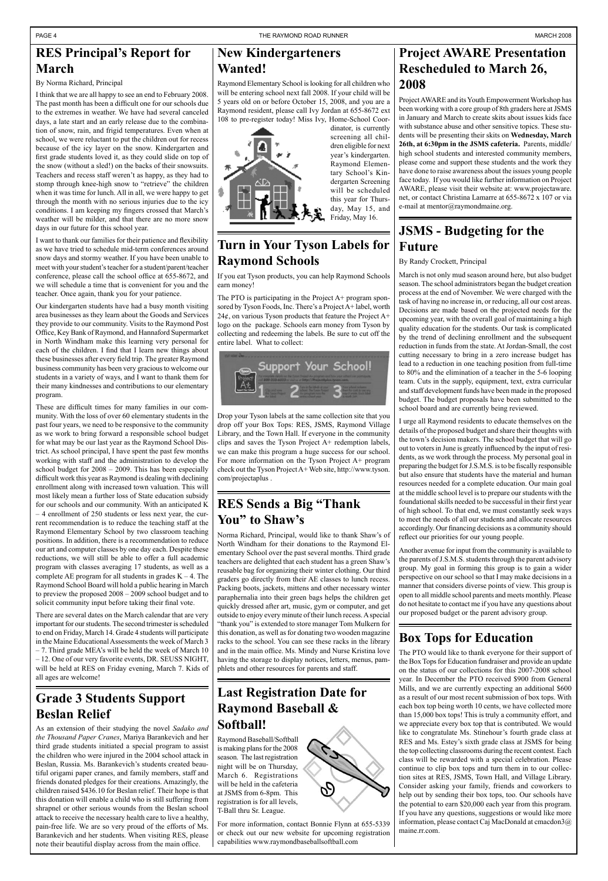### **New Kindergarteners Wanted!**

Raymond Elementary School is looking for all children who will be entering school next fall 2008. If your child will be 5 years old on or before October 15, 2008, and you are a Raymond resident, please call Ivy Jordan at 655-8672 ext 108 to pre-register today! Miss Ivy, Home-School Coor-



dinator, is currently screening all children eligible for next year's kindergarten. Raymond Elementary School's Kindergarten Screening will be scheduled this year for Thursday, May 15, and Friday, May 16.

### **Box Tops for Education**

The PTO would like to thank everyone for their support of the Box Tops for Education fundraiser and provide an update on the status of our collections for this 2007-2008 school year. In December the PTO received \$900 from General Mills, and we are currently expecting an additional \$600 as a result of our most recent submission of box tops. With each box top being worth 10 cents, we have collected more than 15,000 box tops! This is truly a community effort, and we appreciate every box top that is contributed. We would like to congratulate Ms. Stinehour's fourth grade class at RES and Ms. Estey's sixth grade class at JSMS for being the top collecting classrooms during the recent contest. Each class will be rewarded with a special celebration. Please continue to clip box tops and turn them in to our collection sites at RES, JSMS, Town Hall, and Village Library. Consider asking your family, friends and coworkers to help out by sending their box tops, too. Our schools have the potential to earn \$20,000 each year from this program. If you have any questions, suggestions or would like more information, please contact Caj MacDonald at cmacdon3@ maine.rr.com.

### **Grade 3 Students Support Beslan Relief**

As an extension of their studying the novel *Sadako and the Thousand Paper Cranes*, Mariya Barankevich and her third grade students initiated a special program to assist the children who were injured in the 2004 school attack in Beslan, Russia. Ms. Barankevich's students created beautiful origami paper cranes, and family members, staff and friends donated pledges for their creations. Amazingly, the children raised \$436.10 for Beslan relief. Their hope is that this donation will enable a child who is still suffering from shrapnel or other serious wounds from the Beslan school attack to receive the necessary health care to live a healthy, pain-free life. We are so very proud of the efforts of Ms. Barankevich and her students. When visiting RES, please note their beautiful display across from the main office.

Project AWARE and its Youth Empowerment Workshop has been working with a core group of 8th graders here at JSMS in January and March to create skits about issues kids face with substance abuse and other sensitive topics. These students will be presenting their skits on **Wednesday, March 26th, at 6:30pm in the JSMS cafeteria.** Parents, middle/ high school students and interested community members, please come and support these students and the work they have done to raise awareness about the issues young people face today. If you would like further information on Project AWARE, please visit their website at: www.projectaware. net, or contact Christina Lamarre at 655-8672 x 107 or via e-mail at mentor@raymondmaine.org.

### **JSMS - Budgeting for the Future**

#### By Randy Crockett, Principal

March is not only mud season around here, but also budget season. The school administrators began the budget creation process at the end of November. We were charged with the task of having no increase in, or reducing, all our cost areas. Decisions are made based on the projected needs for the upcoming year, with the overall goal of maintaining a high quality education for the students. Our task is complicated by the trend of declining enrollment and the subsequent reduction in funds from the state. At Jordan-Small, the cost cutting necessary to bring in a zero increase budget has lead to a reduction in one teaching position from full-time to 80% and the elimination of a teacher in the 5-6 looping team. Cuts in the supply, equipment, text, extra curricular and staff development funds have been made in the proposed budget. The budget proposals have been submitted to the school board and are currently being reviewed.

I urge all Raymond residents to educate themselves on the details of the proposed budget and share their thoughts with the town's decision makers. The school budget that will go out to voters in June is greatly influenced by the input of residents, as we work through the process. My personal goal in preparing the budget for J.S.M.S. is to be fiscally responsible but also ensure that students have the material and human resources needed for a complete education. Our main goal at the middle school level is to prepare our students with the foundational skills needed to be successful in their first year of high school. To that end, we must constantly seek ways to meet the needs of all our students and allocate resources accordingly. Our financing decisions as a community should reflect our priorities for our young people.

Another avenue for input from the community is available to the parents of J.S.M.S. students through the parent advisory group. My goal in forming this group is to gain a wider perspective on our school so that I may make decisions in a manner that considers diverse points of view. This group is open to all middle school parents and meets monthly. Please do not hesitate to contact me if you have any questions about our proposed budget or the parent advisory group.

### **Project AWARE Presentation Rescheduled to March 26, 2008**

The PTO is participating in the Project  $A+$  program sponsored by Tyson Foods, Inc. There's a Project A+ label, worth 24 $\acute{\text{e}}$ , on various Tyson products that feature the Project A+ logo on the package. Schools earn money from Tyson by collecting and redeeming the labels. Be sure to cut off the entire label. What to collect:



### **RES Principal's Report for March**

By Norma Richard, Principal

I think that we are all happy to see an end to February 2008. The past month has been a difficult one for our schools due to the extremes in weather. We have had several canceled days, a late start and an early release due to the combination of snow, rain, and frigid temperatures. Even when at school, we were reluctant to put the children out for recess because of the icy layer on the snow. Kindergarten and first grade students loved it, as they could slide on top of the snow (without a sled!) on the backs of their snowsuits. Teachers and recess staff weren't as happy, as they had to stomp through knee-high snow to "retrieve" the children when it was time for lunch. All in all, we were happy to get through the month with no serious injuries due to the icy conditions. I am keeping my fingers crossed that March's weather will be milder, and that there are no more snow days in our future for this school year.

I want to thank our families for their patience and flexibility as we have tried to schedule mid-term conferences around snow days and stormy weather. If you have been unable to meet with your student's teacher for a student/parent/teacher conference, please call the school office at 655-8672, and we will schedule a time that is convenient for you and the teacher. Once again, thank you for your patience.

Our kindergarten students have had a busy month visiting area businesses as they learn about the Goods and Services they provide to our community. Visits to the Raymond Post Office, Key Bank of Raymond, and Hannaford Supermarket in North Windham make this learning very personal for each of the children. I find that I learn new things about these businesses after every field trip. The greater Raymond business community has been very gracious to welcome our students in a variety of ways, and I want to thank them for their many kindnesses and contributions to our elementary program.

These are difficult times for many families in our community. With the loss of over 60 elementary students in the past four years, we need to be responsive to the community as we work to bring forward a responsible school budget for what may be our last year as the Raymond School District. As school principal, I have spent the past few months working with staff and the administration to develop the school budget for 2008 – 2009. This has been especially difficult work this year as Raymond is dealing with declining enrollment along with increased town valuation. This will most likely mean a further loss of State education subsidy for our schools and our community. With an anticipated K – 4 enrollment of 250 students or less next year, the current recommendation is to reduce the teaching staff at the Raymond Elementary School by two classroom teaching positions. In addition, there is a recommendation to reduce our art and computer classes by one day each. Despite these reductions, we will still be able to offer a full academic program with classes averaging 17 students, as well as a complete AE program for all students in grades  $K - 4$ . The Raymond School Board will hold a public hearing in March to preview the proposed 2008 – 2009 school budget and to solicit community input before taking their final vote.

There are several dates on the March calendar that are very important for our students. The second trimester is scheduled to end on Friday, March 14. Grade 4 students will participate in the Maine Educational Assessments the week of March 3 – 7. Third grade MEA's will be held the week of March 10 – 12. One of our very favorite events, DR. SEUSS NIGHT, will be held at RES on Friday evening, March 7. Kids of all ages are welcome!

### **RES Sends a Big "Thank You" to Shaw's**

Norma Richard, Principal, would like to thank Shaw's of North Windham for their donations to the Raymond Elementary School over the past several months. Third grade teachers are delighted that each student has a green Shaw's reusable bag for organizing their winter clothing. Our third graders go directly from their AE classes to lunch recess. Packing boots, jackets, mittens and other necessary winter paraphernalia into their green bags helps the children get quickly dressed after art, music, gym or computer, and get outside to enjoy every minute of their lunch recess. A special "thank you" is extended to store manager Tom Mulkern for this donation, as well as for donating two wooden magazine racks to the school. You can see these racks in the library and in the main office. Ms. Mindy and Nurse Kristina love having the storage to display notices, letters, menus, pam-

phlets and other resources for parents and staff.

### **Turn in Your Tyson Labels for Raymond Schools**

If you eat Tyson products, you can help Raymond Schools earn money!

Drop your Tyson labels at the same collection site that you drop off your Box Tops: RES, JSMS, Raymond Village Library, and the Town Hall. If everyone in the community clips and saves the Tyson Project A+ redemption labels, we can make this program a huge success for our school. For more information on the Tyson Project A+ program check out the Tyson Project A+ Web site, http://www.tyson. com/projectaplus .

### **Last Registration Date for Raymond Baseball & Softball!**

Raymond Baseball/Softball is making plans for the 2008 season. The last registration night will be on Thursday, March 6. Registrations will be held in the cafeteria at JSMS from 6-8pm. This registration is for all levels, T-Ball thru Sr. League.

For more information, contact Bonnie Flynn at 655-5339 or check out our new website for upcoming registration capabilities www.raymondbaseballsoftball.com

92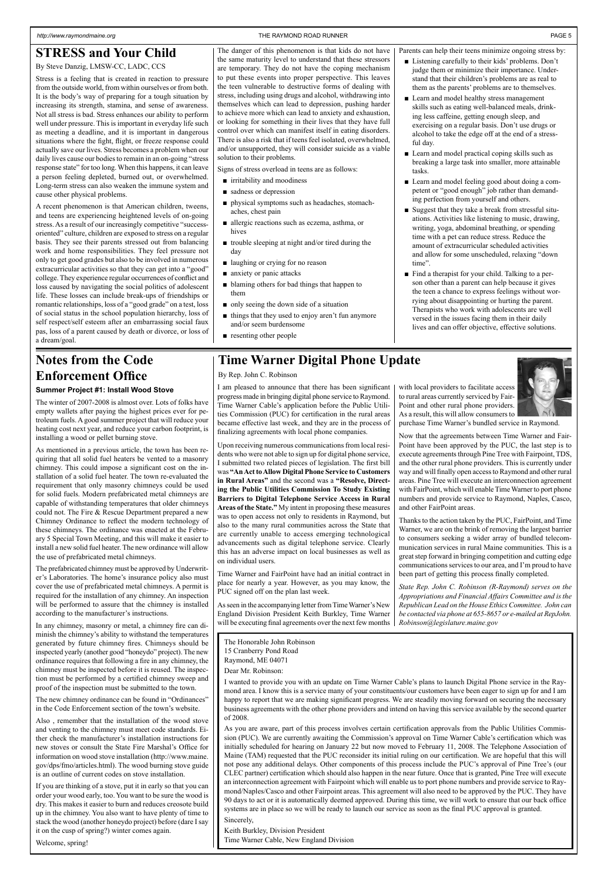#### *http://www.raymondmaine.org* THE RAYMOND ROAD RUNNER PAGE 5

### **Time Warner Digital Phone Update**

By Rep. John C. Robinson

### **STRESS and Your Child**

By Steve Danzig, LMSW-CC, LADC, CCS

Stress is a feeling that is created in reaction to pressure from the outside world, from within ourselves or from both. It is the body's way of preparing for a tough situation by increasing its strength, stamina, and sense of awareness. Not all stress is bad. Stress enhances our ability to perform well under pressure. This is important in everyday life such as meeting a deadline, and it is important in dangerous situations where the fight, flight, or freeze response could actually save our lives. Stress becomes a problem when our daily lives cause our bodies to remain in an on-going "stress response state" for too long. When this happens, it can leave a person feeling depleted, burned out, or overwhelmed. Long-term stress can also weaken the immune system and cause other physical problems.

A recent phenomenon is that American children, tweens, and teens are experiencing heightened levels of on-going stress. As a result of our increasingly competitive "successoriented" culture, children are exposed to stress on a regular basis. They see their parents stressed out from balancing work and home responsibilities. They feel pressure not only to get good grades but also to be involved in numerous extracurricular activities so that they can get into a "good" college. They experience regular occurrences of conflict and loss caused by navigating the social politics of adolescent life. These losses can include break-ups of friendships or romantic relationships, loss of a "good grade" on a test, loss of social status in the school population hierarchy, loss of self respect/self esteem after an embarrassing social faux pas, loss of a parent caused by death or divorce, or loss of a dream/goal.

The danger of this phenomenon is that kids do not have the same maturity level to understand that these stressors are temporary. They do not have the coping mechanism to put these events into proper perspective. This leaves the teen vulnerable to destructive forms of dealing with stress, including using drugs and alcohol, withdrawing into themselves which can lead to depression, pushing harder to achieve more which can lead to anxiety and exhaustion, or looking for something in their lives that they have full control over which can manifest itself in eating disorders. There is also a risk that if teens feel isolated, overwhelmed, and/or unsupported, they will consider suicide as a viable solution to their problems.

Signs of stress overload in teens are as follows:

- irritability and moodiness
- sadness or depression
- physical symptoms such as headaches, stomachaches, chest pain
- allergic reactions such as eczema, asthma, or hives
- trouble sleeping at night and/or tired during the day
- laughing or crying for no reason
- anxiety or panic attacks
- blaming others for bad things that happen to them
- only seeing the down side of a situation
- things that they used to enjoy aren't fun anymore and/or seem burdensome
- resenting other people

The Honorable John Robinson 15 Cranberry Pond Road Raymond, ME 04071

Dear Mr. Robinson:

I wanted to provide you with an update on Time Warner Cable's plans to launch Digital Phone service in the Raymond area. I know this is a service many of your constituents/our customers have been eager to sign up for and I am happy to report that we are making significant progress. We are steadily moving forward on securing the necessary business agreements with the other phone providers and intend on having this service available by the second quarter of 2008.

As you are aware, part of this process involves certain certification approvals from the Public Utilities Commission (PUC). We are currently awaiting the Commission's approval on Time Warner Cable's certification which was initially scheduled for hearing on January 22 but now moved to February 11, 2008. The Telephone Association of Maine (TAM) requested that the PUC reconsider its initial ruling on our certification. We are hopeful that this will not pose any additional delays. Other components of this process include the PUC's approval of Pine Tree's (our CLEC partner) certification which should also happen in the near future. Once that is granted, Pine Tree will execute an interconnection agreement with Fairpoint which will enable us to port phone numbers and provide service to Raymond/Naples/Casco and other Fairpoint areas. This agreement will also need to be approved by the PUC. They have 90 days to act or it is automatically deemed approved. During this time, we will work to ensure that our back office systems are in place so we will be ready to launch our service as soon as the final PUC approval is granted. Sincerely,

Keith Burkley, Division President Time Warner Cable, New England Division

I am pleased to announce that there has been significant progress made in bringing digital phone service to Raymond. Time Warner Cable's application before the Public Utilities Commission (PUC) for certification in the rural areas became effective last week, and they are in the process of finalizing agreements with local phone companies.

Upon receiving numerous communications from local residents who were not able to sign up for digital phone service, I submitted two related pieces of legislation. The first bill was **"An Act to Allow Digital Phone Service to Customers in Rural Areas"** and the second was a **"Resolve, Directing the Public Utilities Commission To Study Existing Barriers to Digital Telephone Service Access in Rural Areas of the State."** My intent in proposing these measures was to open access not only to residents in Raymond, but also to the many rural communities across the State that are currently unable to access emerging technological advancements such as digital telephone service. Clearly this has an adverse impact on local businesses as well as on individual users.

- Listening carefully to their kids' problems. Don't judge them or minimize their importance. Understand that their children's problems are as real to them as the parents' problems are to themselves.
- Learn and model healthy stress management skills such as eating well-balanced meals, drinking less caffeine, getting enough sleep, and exercising on a regular basis. Don't use drugs or alcohol to take the edge off at the end of a stressful day.
- Learn and model practical coping skills such as breaking a large task into smaller, more attainable tasks.
- Learn and model feeling good about doing a competent or "good enough" job rather than demanding perfection from yourself and others.
- Suggest that they take a break from stressful situations. Activities like listening to music, drawing, writing, yoga, abdominal breathing, or spending time with a pet can reduce stress. Reduce the amount of extracurricular scheduled activities and allow for some unscheduled, relaxing "down time".
- Find a therapist for your child. Talking to a person other than a parent can help because it gives the teen a chance to express feelings without worrying about disappointing or hurting the parent. Therapists who work with adolescents are well versed in the issues facing them in their daily lives and can offer objective, effective solutions.

Time Warner and FairPoint have had an initial contract in place for nearly a year. However, as you may know, the PUC signed off on the plan last week.

As seen in the accompanying letter from Time Warner's New England Division President Keith Burkley, Time Warner will be executing final agreements over the next few months



purchase Time Warner's bundled service in Raymond. Now that the agreements between Time Warner and Fair-Point have been approved by the PUC, the last step is to execute agreements through Pine Tree with Fairpoint, TDS, and the other rural phone providers. This is currently under way and will finally open access to Raymond and other rural areas. Pine Tree will execute an interconnection agreement with FairPoint, which will enable Time Warner to port phone numbers and provide service to Raymond, Naples, Casco, and other FairPoint areas.

Thanks to the action taken by the PUC, FairPoint, and Time Warner, we are on the brink of removing the largest barrier to consumers seeking a wider array of bundled telecommunication services in rural Maine communities. This is a great step forward in bringing competition and cutting edge communications services to our area, and I'm proud to have been part of getting this process finally completed.

*State Rep. John C. Robinson (R-Raymond) serves on the Appropriations and Financial Affairs Committee and is the Republican Lead on the House Ethics Committee. John can be contacted via phone at 655-8657 or e-mailed at RepJohn. Robinson@legislature.maine.gov*

### **Notes from the Code Enforcement Office**

#### **Summer Project #1: Install Wood Stove**

The winter of 2007-2008 is almost over. Lots of folks have empty wallets after paying the highest prices ever for petroleum fuels. A good summer project that will reduce your heating cost next year, and reduce your carbon footprint, is installing a wood or pellet burning stove.

As mentioned in a previous article, the town has been requiring that all solid fuel heaters be vented to a masonry chimney. This could impose a significant cost on the installation of a solid fuel heater. The town re-evaluated the requirement that only masonry chimneys could be used for solid fuels. Modern prefabricated metal chimneys are capable of withstanding temperatures that older chimneys could not. The Fire & Rescue Department prepared a new Chimney Ordinance to reflect the modern technology of these chimneys. The ordinance was enacted at the February 5 Special Town Meeting, and this will make it easier to install a new solid fuel heater. The new ordinance will allow the use of prefabricated metal chimneys.

The prefabricated chimney must be approved by Underwriter's Laboratories. The home's insurance policy also must cover the use of prefabricated metal chimneys. A permit is required for the installation of any chimney. An inspection will be performed to assure that the chimney is installed according to the manufacturer's instructions.

In any chimney, masonry or metal, a chimney fire can diminish the chimney's ability to withstand the temperatures generated by future chimney fires. Chimneys should be inspected yearly (another good "honeydo" project). The new ordinance requires that following a fire in any chimney, the chimney must be inspected before it is reused. The inspection must be performed by a certified chimney sweep and proof of the inspection must be submitted to the town.

The new chimney ordinance can be found in "Ordinances" in the Code Enforcement section of the town's website.

Also , remember that the installation of the wood stove and venting to the chimney must meet code standards. Either check the manufacturer's installation instructions for new stoves or consult the State Fire Marshal's Office for information on wood stove installation (http://www.maine. gov/dps/fmo/articles.html). The wood burning stove guide is an outline of current codes on stove installation.

If you are thinking of a stove, put it in early so that you can order your wood early, too. You want to be sure the wood is dry. This makes it easier to burn and reduces creosote build up in the chimney. You also want to have plenty of time to stack the wood (another honeydo project) before (dare I say it on the cusp of spring?) winter comes again.

Welcome, spring!

Parents can help their teens minimize ongoing stress by: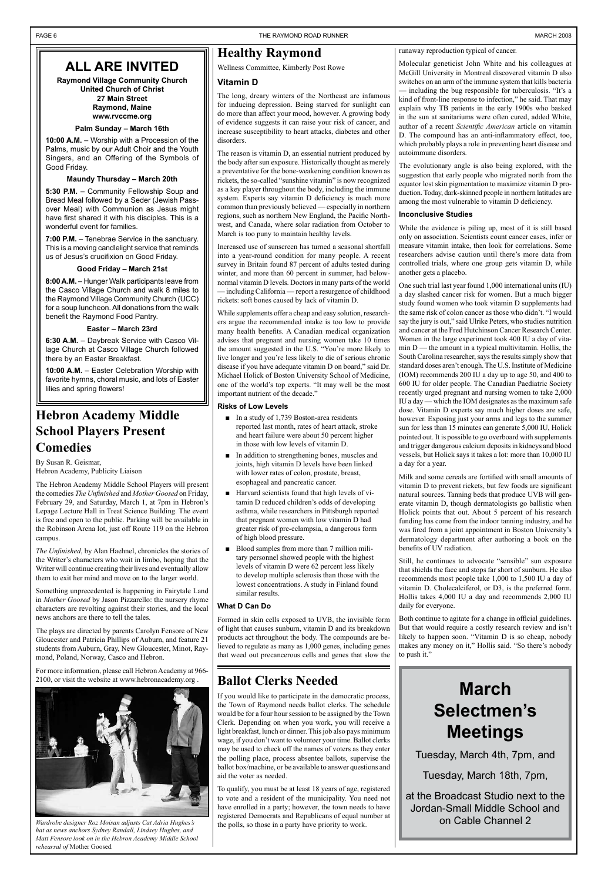### **ALL ARE INVITED**

**Raymond Village Community Church United Church of Christ 27 Main Street Raymond, Maine www.rvccme.org**

#### **Palm Sunday – March 16th**

**10:00 A.M.** – Worship with a Procession of the Palms, music by our Adult Choir and the Youth Singers, and an Offering of the Symbols of Good Friday.

#### **Maundy Thursday – March 20th**

**5:30 P.M.** – Community Fellowship Soup and Bread Meal followed by a Seder (Jewish Passover Meal) with Communion as Jesus might have first shared it with his disciples. This is a wonderful event for families.

**7:00 P.M.** – Tenebrae Service in the sanctuary. This is a moving candlelight service that reminds us of Jesus's crucifixion on Good Friday.

**Good Friday – March 21st**

**8:00 A.M.** – Hunger Walk participants leave from the Casco Village Church and walk 8 miles to the Raymond Village Community Church (UCC) for a soup luncheon. All donations from the walk benefit the Raymond Food Pantry.

#### **Easter – March 23rd**

**6:30 A.M.** – Daybreak Service with Casco Village Church at Casco Village Church followed there by an Easter Breakfast.

**10:00 A.M.** – Easter Celebration Worship with favorite hymns, choral music, and lots of Easter lilies and spring flowers!

### **Healthy Raymond**

Wellness Committee, Kimberly Post Rowe

#### **Vitamin D**

The long, dreary winters of the Northeast are infamous for inducing depression. Being starved for sunlight can do more than affect your mood, however. A growing body of evidence suggests it can raise your risk of cancer, and increase susceptibility to heart attacks, diabetes and other disorders.

The reason is vitamin D, an essential nutrient produced by the body after sun exposure. Historically thought as merely a preventative for the bone-weakening condition known as rickets, the so-called "sunshine vitamin" is now recognized as a key player throughout the body, including the immune system. Experts say vitamin D deficiency is much more common than previously believed — especially in northern regions, such as northern New England, the Pacific Northwest, and Canada, where solar radiation from October to March is too puny to maintain healthy levels.

- In a study of 1,739 Boston-area residents reported last month, rates of heart attack, stroke and heart failure were about 50 percent higher in those with low levels of vitamin D.
- In addition to strengthening bones, muscles and joints, high vitamin D levels have been linked with lower rates of colon, prostate, breast, esophageal and pancreatic cancer. ■
- Harvard scientists found that high levels of vitamin D reduced children's odds of developing asthma, while researchers in Pittsburgh reported that pregnant women with low vitamin D had greater risk of pre-eclampsia, a dangerous form of high blood pressure. ■
- Blood samples from more than 7 million military personnel showed people with the highest levels of vitamin D were 62 percent less likely to develop multiple sclerosis than those with the lowest concentrations. A study in Finland found similar results.

Increased use of sunscreen has turned a seasonal shortfall into a year-round condition for many people. A recent survey in Britain found 87 percent of adults tested during winter, and more than 60 percent in summer, had belownormal vitamin D levels. Doctors in many parts of the world — including California — report a resurgence of childhood rickets: soft bones caused by lack of vitamin D.

While supplements offer a cheap and easy solution, researchers argue the recommended intake is too low to provide many health benefits. A Canadian medical organization advises that pregnant and nursing women take 10 times the amount suggested in the U.S. "You're more likely to live longer and you're less likely to die of serious chronic disease if you have adequate vitamin D on board," said Dr. Michael Holick of Boston University School of Medicine, one of the world's top experts. "It may well be the most important nutrient of the decade."

#### **Risks of Low Levels**

#### **What D Can Do**

Formed in skin cells exposed to UVB, the invisible form of light that causes sunburn, vitamin D and its breakdown products act throughout the body. The compounds are believed to regulate as many as 1,000 genes, including genes that weed out precancerous cells and genes that slow the

#### runaway reproduction typical of cancer.

Molecular geneticist John White and his colleagues at McGill University in Montreal discovered vitamin D also switches on an arm of the immune system that kills bacteria — including the bug responsible for tuberculosis. "It's a kind of front-line response to infection," he said. That may explain why TB patients in the early 1900s who basked in the sun at sanitariums were often cured, added White, author of a recent *Scientific American* article on vitamin D. The compound has an anti-inflammatory effect, too, which probably plays a role in preventing heart disease and autoimmune disorders.

*Wardrobe designer Roz Moisan adjusts Cat Adria Hughes's*  $hat{a}$  the polls, so those in a party have priority to work. *hat as news anchors Sydney Randall, Lindsey Hughes, and Matt Fensore look on in the Hebron Academy Middle School rehearsal of* Mother Goosed*.*

The evolutionary angle is also being explored, with the suggestion that early people who migrated north from the equator lost skin pigmentation to maximize vitamin D production. Today, dark-skinned people in northern latitudes are among the most vulnerable to vitamin D deficiency.

#### **Inconclusive Studies**

While the evidence is piling up, most of it is still based only on association. Scientists count cancer cases, infer or measure vitamin intake, then look for correlations. Some researchers advise caution until there's more data from controlled trials, where one group gets vitamin D, while another gets a placebo.

One such trial last year found 1,000 international units (IU) a day slashed cancer risk for women. But a much bigger study found women who took vitamin D supplements had the same risk of colon cancer as those who didn't. "I would say the jury is out," said Ulrike Peters, who studies nutrition and cancer at the Fred Hutchinson Cancer Research Center. Women in the large experiment took 400 IU a day of vitamin  $D$  — the amount in a typical multivitamin. Hollis, the South Carolina researcher, says the results simply show that standard doses aren't enough. The U.S. Institute of Medicine (IOM) recommends 200 IU a day up to age 50, and 400 to 600 IU for older people. The Canadian Paediatric Society recently urged pregnant and nursing women to take 2,000 IU a day — which the IOM designates as the maximum safe dose. Vitamin D experts say much higher doses are safe, however. Exposing just your arms and legs to the summer sun for less than 15 minutes can generate 5,000 IU, Holick pointed out. It is possible to go overboard with supplements and trigger dangerous calcium deposits in kidneys and blood vessels, but Holick says it takes a lot: more than 10,000 IU a day for a year.

Milk and some cereals are fortified with small amounts of vitamin D to prevent rickets, but few foods are significant natural sources. Tanning beds that produce UVB will generate vitamin D, though dermatologists go ballistic when Holick points that out. About 5 percent of his research funding has come from the indoor tanning industry, and he was fired from a joint appointment in Boston University's dermatology department after authoring a book on the benefits of UV radiation.

Still, he continues to advocate "sensible" sun exposure that shields the face and stops far short of sunburn. He also recommends most people take 1,000 to 1,500 IU a day of vitamin D. Cholecalciferol, or D3, is the preferred form. Hollis takes 4,000 IU a day and recommends 2,000 IU daily for everyone.

Both continue to agitate for a change in official guidelines. But that would require a costly research review and isn't likely to happen soon. "Vitamin D is so cheap, nobody makes any money on it," Hollis said. "So there's nobody to push it."

### **Hebron Academy Middle School Players Present Comedies**

By Susan R. Geismar, Hebron Academy, Publicity Liaison

The Hebron Academy Middle School Players will present the comedies *The Unfinished* and *Mother Goosed* on Friday, February 29, and Saturday, March 1, at 7pm in Hebron's Lepage Lecture Hall in Treat Science Building. The event is free and open to the public. Parking will be available in the Robinson Arena lot, just off Route 119 on the Hebron campus.

*The Unfinished*, by Alan Haehnel, chronicles the stories of the Writer's characters who wait in limbo, hoping that the Writer will continue creating their lives and eventually allow them to exit her mind and move on to the larger world.

Something unprecedented is happening in Fairytale Land in *Mother Goosed* by Jason Pizzarello: the nursery rhyme characters are revolting against their stories, and the local news anchors are there to tell the tales.

The plays are directed by parents Carolyn Fensore of New Gloucester and Patricia Phillips of Auburn, and feature 21 students from Auburn, Gray, New Gloucester, Minot, Raymond, Poland, Norway, Casco and Hebron.

For more information, please call Hebron Academy at 966- 2100, or visit the website at www.hebronacademy.org . **Ballot Clerks Needed**



If you would like to participate in the democratic process, the Town of Raymond needs ballot clerks. The schedule would be for a four hour session to be assigned by the Town Clerk. Depending on when you work, you will receive a light breakfast, lunch or dinner. This job also pays minimum wage, if you don't want to volunteer your time. Ballot clerks may be used to check off the names of voters as they enter the polling place, process absentee ballots, supervise the ballot box/machine, or be available to answer questions and aid the voter as needed.

To qualify, you must be at least 18 years of age, registered to vote and a resident of the municipality. You need not have enrolled in a party; however, the town needs to have registered Democrats and Republicans of equal number at

## **March Selectmen's Meetings**

Tuesday, March 4th, 7pm, and

Tuesday, March 18th, 7pm,

at the Broadcast Studio next to the Jordan-Small Middle School and on Cable Channel 2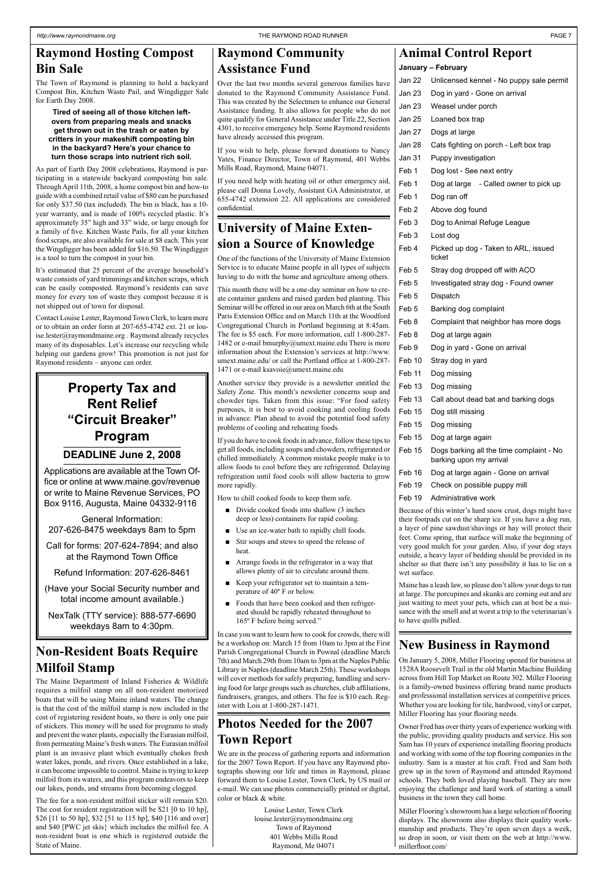### **University of Maine Extension a Source of Knowledge**

One of the functions of the University of Maine Extension Service is to educate Maine people in all types of subjects having to do with the home and agriculture among others.

This month there will be a one-day seminar on how to create container gardens and raised garden bed planting. This Seminar will be offered in our area on March 6th at the South Paris Extension Office and on March 11th at the Woodford Congregational Church in Portland beginning at 8:45am. The fee is \$5 each. For more information, call 1-800-287- 1482 or e-mail bmurphy@umext.maine.edu There is more information about the Extension's services at http://www. umext.maine.edu/ or call the Portland office at 1-800-287- 1471 or e-mail ksavoie@umext.maine.edu

Another service they provide is a newsletter entitled the Safety Zone. This month's newsletter concerns soup and chowder tips. Taken from this issue: "For food safety purposes, it is best to avoid cooking and cooling foods in advance. Plan ahead to avoid the potential food safety problems of cooling and reheating foods.

- Divide cooked foods into shallow (3 inches deep or less) containers for rapid cooling.
- Use an ice-water bath to rapidly chill foods. ■
- Stir soups and stews to speed the release of heat. ■
- Arrange foods in the refrigerator in a way that allows plenty of air to circulate around them. ■
- Keep your refrigerator set to maintain a temperature of 40º F or below. ■
- Foods that have been cooked and then refrigerated should be rapidly reheated throughout to 165º F before being served." ■

If you do have to cook foods in advance, follow these tips to get all foods, including soups and chowders, refrigerated or chilled immediately. A common mistake people make is to allow foods to cool before they are refrigerated. Delaying refrigeration until food cools will allow bacteria to grow more rapidly.

How to chill cooked foods to keep them safe.

In case you want to learn how to cook for crowds, there will be a workshop on: March 15 from 10am to 3pm at the First Parish Congregational Church in Pownal (deadline March 7th) and March 29th from 10am to 3pm at the Naples Public Library in Naples (deadline March 25th). These workshops will cover methods for safely preparing, handling and serving food for large groups such as churches, club affiliations, fundraisers, granges, and others. The fee is \$10 each. Register with Lois at 1-800-287-1471.

### **New Business in Raymond**

On January 5, 2008, Miller Flooring opened for business at

1528A Roosevelt Trail in the old Martin Machine Building across from Hill Top Market on Route 302. Miller Flooring is a family-owned business offering brand name products and professional installation services at competitive prices. Whether you are looking for tile, hardwood, vinyl or carpet, Miller Flooring has your flooring needs.

Owner Fred has over thirty years of experience working with the public, providing quality products and service. His son Sam has 10 years of experience installing flooring products and working with some of the top flooring companies in the industry. Sam is a master at his craft. Fred and Sam both grew up in the town of Raymond and attended Raymond schools. They both loved playing baseball. They are now enjoying the challenge and hard work of starting a small business in the town they call home.

Miller Flooring's showroom has a large selection of flooring displays. The showroom also displays their quality workmanship and products. They're open seven days a week, so drop in soon, or visit them on the web at http://www. millerfloor.com/

### **Animal Control Report**

**January – February**

Jan 22 Unlicensed kennel - No puppy sale permit Jan 23 Dog in yard - Gone on arrival Jan 23 Weasel under porch Jan 25 Loaned box trap Jan 27 Dogs at large Jan 28 Cats fighting on porch - Left box trap Jan 31 Puppy investigation Feb 1 Dog lost - See next entry Feb 1 Dog at large - Called owner to pick up Feb 1 Dog ran off Feb 2 Above dog found Feb 3 Dog to Animal Refuge League Feb 3 Lost dog Feb 4 Picked up dog - Taken to ARL, issued ticket Feb 5 Stray dog dropped off with ACO Feb 5 Investigated stray dog - Found owner Feb 5 Dispatch Feb 5 Barking dog complaint Feb 8 Complaint that neighbor has more dogs Feb 8 Dog at large again Feb 9 Dog in yard - Gone on arrival Feb 10 Stray dog in yard Feb 11 Dog missing Feb 13 Dog missing Feb 13 Call about dead bat and barking dogs Feb 15 Dog still missing Feb 15 Dog missing Feb 15 Dog at large again Feb 15 Dogs barking all the time complaint - No barking upon my arrival Feb 16 Dog at large again - Gone on arrival Feb 19 Check on possible puppy mill Feb 19 Administrative work Because of this winter's hard snow crust, dogs might have their footpads cut on the sharp ice. If you have a dog run,

a layer of pine sawdust/shavings or hay will protect their feet. Come spring, that surface will make the beginning of very good mulch for your garden. Also, if your dog stays outside, a heavy layer of bedding should be provided in its shelter so that there isn't any possibility it has to lie on a wet surface.

Maine has a leash law, so please don't allow your dogs to run at large. The porcupines and skunks are coming out and are just waiting to meet your pets, which can at best be a nuisance with the smell and at worst a trip to the veterinarian's to have quills pulled.

### **Non-Resident Boats Require Milfoil Stamp**

The Maine Department of Inland Fisheries & Wildlife requires a milfoil stamp on all non-resident motorized boats that will be using Maine inland waters. The change is that the cost of the milfoil stamp is now included in the cost of registering resident boats, so there is only one pair of stickers. This money will be used for programs to study and prevent the water plants, especially the Eurasian milfoil, from permeating Maine's fresh waters. The Eurasian milfoil plant is an invasive plant which eventually chokes fresh water lakes, ponds, and rivers. Once established in a lake, it can become impossible to control. Maine is trying to keep milfoil from its waters, and this program endeavors to keep our lakes, ponds, and streams from becoming clogged.

The fee for a non-resident milfoil sticker will remain \$20. The cost for resident registration will be \$21 [0 to 10 hp], \$26 [11 to 50 hp], \$32 [51 to 115 hp], \$40 [116 and over] and \$40 [PWC jet skis} which includes the milfoil fee. A non-resident boat is one which is registered outside the State of Maine.

### **Raymond Hosting Compost Bin Sale**

The Town of Raymond is planning to hold a backyard Compost Bin, Kitchen Waste Pail, and Wingdigger Sale for Earth Day 2008.

#### **Tired of seeing all of those kitchen leftovers from preparing meals and snacks get thrown out in the trash or eaten by critters in your makeshift composting bin in the backyard? Here's your chance to turn those scraps into nutrient rich soil.**

As part of Earth Day 2008 celebrations, Raymond is participating in a statewide backyard composting bin sale. Through April 11th, 2008, a home compost bin and how-to guide with a combined retail value of \$80 can be purchased for only \$37.50 (tax included). The bin is black, has a 10 year warranty, and is made of 100% recycled plastic. It's approximately 35" high and 33" wide, or large enough for a family of five. Kitchen Waste Pails, for all your kitchen food scraps, are also available for sale at \$8 each. This year the Wingdigger has been added for \$16.50. The Wingdigger is a tool to turn the compost in your bin.

It's estimated that 25 percent of the average household's waste consists of yard trimmings and kitchen scraps, which can be easily composted. Raymond's residents can save money for every ton of waste they compost because it is not shipped out of town for disposal.

Contact Louise Lester, Raymond Town Clerk, to learn more or to obtain an order form at 207-655-4742 ext. 21 or louise.lester@raymondmaine.org . Raymond already recycles many of its disposables. Let's increase our recycling while helping our gardens grow! This promotion is not just for Raymond residents – anyone can order.

### **Raymond Community Assistance Fund**

Over the last two months several generous families have donated to the Raymond Community Assistance Fund. This was created by the Selectmen to enhance our General Assistance funding. It also allows for people who do not quite qualify for General Assistance under Title 22, Section 4301, to receive emergency help. Some Raymond residents have already accessed this program.

If you wish to help, please forward donations to Nancy Yates, Finance Director, Town of Raymond, 401 Webbs Mills Road, Raymond, Maine 04071.

If you need help with heating oil or other emergency aid, please call Donna Lovely, Assistant GA Administrator, at 655-4742 extension 22. All applications are considered confidential.

### **Photos Needed for the 2007 Town Report**

We are in the process of gathering reports and information for the 2007 Town Report. If you have any Raymond photographs showing our life and times in Raymond, please forward them to Louise Lester, Town Clerk, by US mail or e-mail. We can use photos commercially printed or digital, color or black & white.

> Louise Lester, Town Clerk louise.lester@raymondmaine.org Town of Raymond 401 Webbs Mills Road Raymond, Me 04071

### **Property Tax and Rent Relief "Circuit Breaker" Program**

### **DEADLINE June 2, 2008**

Applications are available at the Town Office or online at www.maine.gov/revenue or write to Maine Revenue Services, PO Box 9116, Augusta, Maine 04332-9116

General Information: 207-626-8475 weekdays 8am to 5pm

Call for forms: 207-624-7894; and also at the Raymond Town Office

Refund Information: 207-626-8461

(Have your Social Security number and total income amount available.)

NexTalk (TTY service): 888-577-6690 weekdays 8am to 4:30pm.